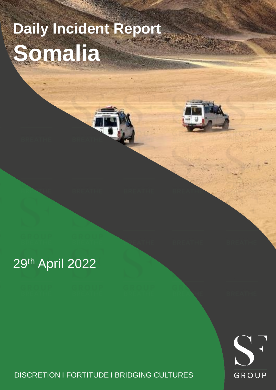# **Daily Incident Report Somalia**





## DISCRETION I FORTITUDE I BRIDGING CULTURES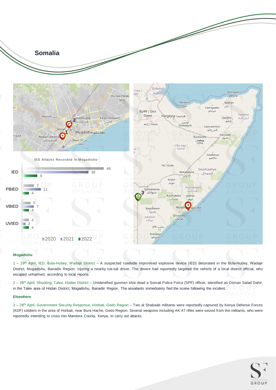

#### **Mogadishu**

1 – 29th April, IED, Bula-Hubey, Wadajir District – A suspected roadside improvised explosive device (IED) detonated in the Bula-Hubey, Wadajir District, Mogadishu, Banadiir Region, injuring a nearby tuk-tuk driver. The device had reportedly targeted the vehicle of a local district official, who escaped unharmed, according to local reports.

2 - 28<sup>th</sup> April, Shooting, Talex, Hodan District - Unidentified gunmen shot dead a Somali Police Force (SPF) officer, identified as Osman Salad Dahir, in the Talex area of Hodan District, Mogadishu, Banadiir Region. The assailants immediately fled the scene following the incident.

#### **Elsewhere**

3 - 28<sup>th</sup> April, Government Security Response, Horbati, Gedo Region - Two al Shabaab militants were reportedly captured by Kenya Defense Forces (KDF) soldiers in the area of Horbati, near Bura Hache, Gedo Region. Several weapons including AK-47 rifles were seized from the militants, who were reportedly intending to cross into Mandera County, Kenya, to carry out attacks.